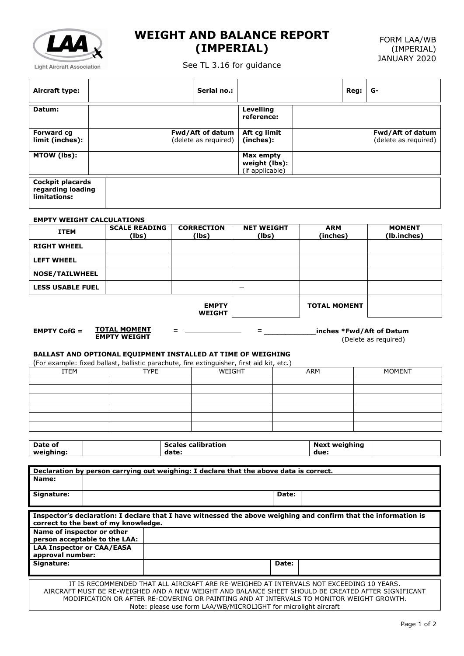

## **WEIGHT AND BALANCE REPORT (IMPERIAL)**

See TL 3.16 for guidance

| Aircraft type:                                                                                                                                                                                                                                                                                               |                                    |                               |                      | Serial no.:                   |                                                      |              |                        | Reg: | G-                           |
|--------------------------------------------------------------------------------------------------------------------------------------------------------------------------------------------------------------------------------------------------------------------------------------------------------------|------------------------------------|-------------------------------|----------------------|-------------------------------|------------------------------------------------------|--------------|------------------------|------|------------------------------|
| Datum:                                                                                                                                                                                                                                                                                                       |                                    |                               |                      |                               | <b>Levelling</b><br>reference:                       |              |                        |      |                              |
| <b>Forward cg</b>                                                                                                                                                                                                                                                                                            |                                    |                               |                      | Fwd/Aft of datum              | Aft cg limit                                         |              |                        |      | Fwd/Aft of datum             |
| limit (inches):                                                                                                                                                                                                                                                                                              |                                    |                               | (delete as required) |                               | (inches):                                            |              |                        |      | (delete as required)         |
| MTOW (lbs):                                                                                                                                                                                                                                                                                                  |                                    |                               |                      |                               | <b>Max empty</b><br>weight (lbs):<br>(if applicable) |              |                        |      |                              |
| <b>Cockpit placards</b><br>regarding loading<br>limitations:                                                                                                                                                                                                                                                 |                                    |                               |                      |                               |                                                      |              |                        |      |                              |
| <b>EMPTY WEIGHT CALCULATIONS</b>                                                                                                                                                                                                                                                                             |                                    |                               |                      |                               |                                                      |              |                        |      |                              |
| <b>ITEM</b>                                                                                                                                                                                                                                                                                                  |                                    | <b>SCALE READING</b><br>(lbs) |                      | <b>CORRECTION</b><br>(lbs)    | <b>NET WEIGHT</b><br>(lbs)                           |              | <b>ARM</b><br>(inches) |      | <b>MOMENT</b><br>(lb.inches) |
| <b>RIGHT WHEEL</b>                                                                                                                                                                                                                                                                                           |                                    |                               |                      |                               |                                                      |              |                        |      |                              |
| <b>LEFT WHEEL</b>                                                                                                                                                                                                                                                                                            |                                    |                               |                      |                               |                                                      |              |                        |      |                              |
| <b>NOSE/TAILWHEEL</b>                                                                                                                                                                                                                                                                                        |                                    |                               |                      |                               |                                                      |              |                        |      |                              |
| <b>LESS USABLE FUEL</b>                                                                                                                                                                                                                                                                                      |                                    |                               |                      |                               | $\overline{\phantom{0}}$                             |              |                        |      |                              |
|                                                                                                                                                                                                                                                                                                              |                                    |                               |                      | <b>EMPTY</b><br><b>WEIGHT</b> |                                                      |              | <b>TOTAL MOMENT</b>    |      |                              |
| <u>TOTAL MOMENT</u><br><b>EMPTY CofG <math>=</math></b><br>$=$<br>inches *Fwd/Aft of Datum<br>Ξ.<br><b>EMPTY WEIGHT</b><br>(Delete as required)<br>BALLAST AND OPTIONAL EQUIPMENT INSTALLED AT TIME OF WEIGHING<br>(For example: fixed ballast, ballistic parachute, fire extinguisher, first aid kit, etc.) |                                    |                               |                      |                               |                                                      |              |                        |      |                              |
| <b>ITEM</b>                                                                                                                                                                                                                                                                                                  |                                    | <b>TYPE</b>                   | WEIGHT               |                               |                                                      |              | <b>ARM</b>             |      | <b>MOMENT</b>                |
|                                                                                                                                                                                                                                                                                                              |                                    |                               |                      |                               |                                                      |              |                        |      |                              |
|                                                                                                                                                                                                                                                                                                              |                                    |                               |                      |                               |                                                      |              |                        |      |                              |
|                                                                                                                                                                                                                                                                                                              |                                    |                               |                      |                               |                                                      |              |                        |      |                              |
|                                                                                                                                                                                                                                                                                                              |                                    |                               |                      |                               |                                                      |              |                        |      |                              |
|                                                                                                                                                                                                                                                                                                              |                                    |                               |                      |                               |                                                      |              |                        |      |                              |
|                                                                                                                                                                                                                                                                                                              |                                    |                               |                      |                               |                                                      |              |                        |      |                              |
| Date of<br>weighing:                                                                                                                                                                                                                                                                                         | <b>Scales calibration</b><br>date: |                               |                      | <b>Next weighing</b><br>due:  |                                                      |              |                        |      |                              |
|                                                                                                                                                                                                                                                                                                              |                                    |                               |                      |                               |                                                      |              |                        |      |                              |
| Declaration by person carrying out weighing: I declare that the above data is correct.<br>Name:                                                                                                                                                                                                              |                                    |                               |                      |                               |                                                      |              |                        |      |                              |
| Signature:                                                                                                                                                                                                                                                                                                   |                                    |                               |                      |                               |                                                      | Date:        |                        |      |                              |
|                                                                                                                                                                                                                                                                                                              |                                    |                               |                      |                               |                                                      |              |                        |      |                              |
| Inspector's declaration: I declare that I have witnessed the above weighing and confirm that the information is<br>correct to the best of my knowledge.                                                                                                                                                      |                                    |                               |                      |                               |                                                      |              |                        |      |                              |
| Name of inspector or other<br>person acceptable to the LAA:                                                                                                                                                                                                                                                  |                                    |                               |                      |                               |                                                      |              |                        |      |                              |
| <b>LAA Inspector or CAA/EASA</b><br>approval number:                                                                                                                                                                                                                                                         |                                    |                               |                      |                               |                                                      |              |                        |      |                              |
| Signature:                                                                                                                                                                                                                                                                                                   |                                    |                               |                      |                               |                                                      | <b>Date:</b> |                        |      |                              |
| IT IS RECOMMENDED THAT ALL AIRCRAFT ARE RE-WEIGHED AT INTERVALS NOT EXCEEDING 10 YEARS.<br>AIRCRAFT MUST BE RE-WEIGHED AND A NEW WEIGHT AND BALANCE SHEET SHOULD BE CREATED AFTER SIGNIFICANT                                                                                                                |                                    |                               |                      |                               |                                                      |              |                        |      |                              |

MODIFICATION OR AFTER RE-COVERING OR PAINTING AND AT INTERVALS TO MONITOR WEIGHT GROWTH.

Note: please use form LAA/WB/MICROLIGHT for microlight aircraft